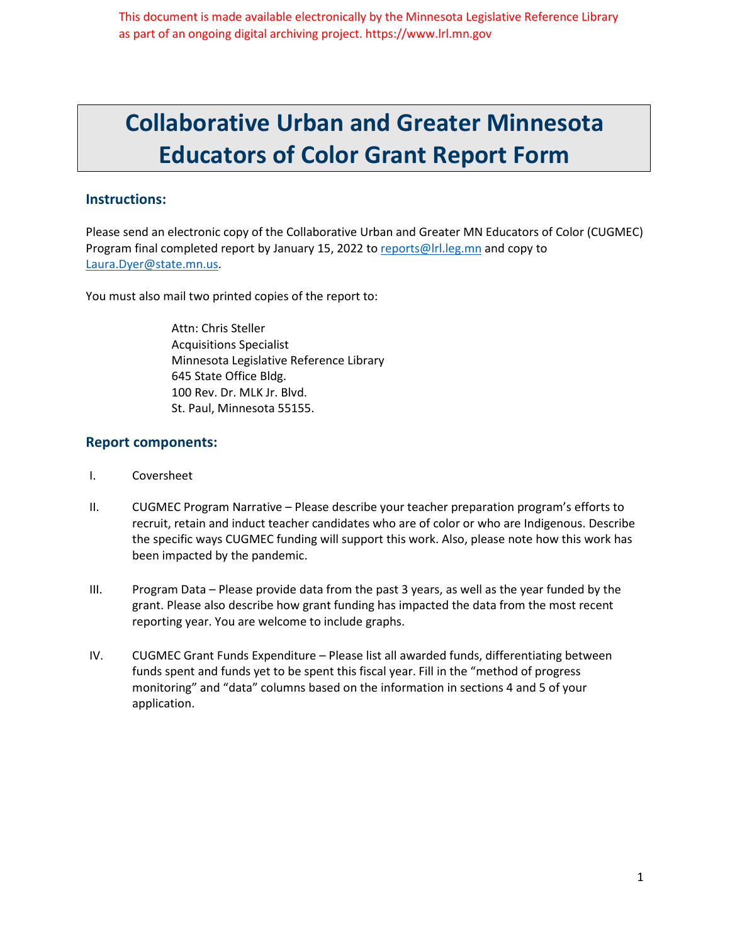This document is made available electronically by the Minnesota Legislative Reference Library as part of an ongoing digital archiving project. https://www.lrl.mn.gov

# **Collaborative Urban and Greater Minnesota Educators of Color Grant Report Form**

#### **Instructions:**

Please send an electronic copy of the Collaborative Urban and Greater MN Educators of Color (CUGMEC) Program final completed report by January 15, 2022 to reports@lrl.leg.mn and copy to Laura.Dyer@state.mn.us.

You must also mail two printed copies of the report to:

Attn: Chris Steller Acquisitions Specialist Minnesota Legislative Reference Library 645 State Office Bldg. 100 Rev. Dr. MLK Jr. Blvd. St. Paul, Minnesota 55155.

#### **Report components:**

- I. Coversheet
- II. CUGMEC Program Narrative Please describe your teacher preparation program's efforts to recruit, retain and induct teacher candidates who are of color or who are Indigenous. Describe the specific ways CUGMEC funding will support this work. Also, please note how this work has been impacted by the pandemic.
- III. Program Data Please provide data from the past 3 years, as well as the year funded by the grant. Please also describe how grant funding has impacted the data from the most recent reporting year. You are welcome to include graphs.
- IV. CUGMEC Grant Funds Expenditure Please list all awarded funds, differentiating between funds spent and funds yet to be spent this fiscal year. Fill in the "method of progress monitoring" and "data" columns based on the information in sections 4 and 5 of your application.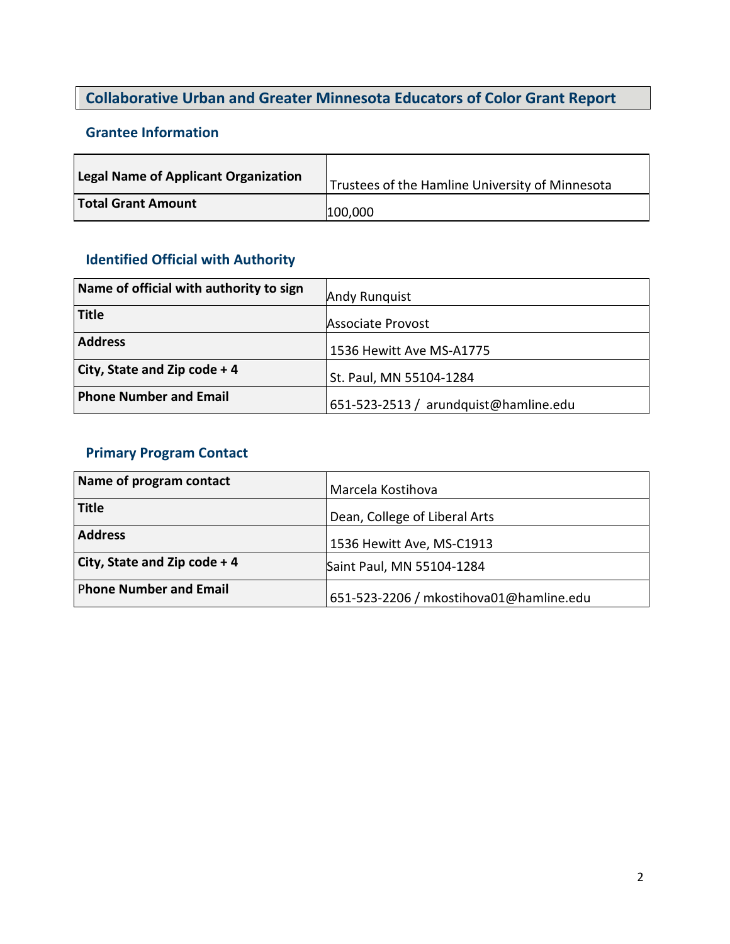## **Collaborative Urban and Greater Minnesota Educators of Color Grant Report**

### **Grantee Information**

| <b>Legal Name of Applicant Organization</b> | Trustees of the Hamline University of Minnesota |
|---------------------------------------------|-------------------------------------------------|
| Total Grant Amount                          | 100,000                                         |

## **Identified Official with Authority**

| Name of official with authority to sign | Andy Runquist                         |
|-----------------------------------------|---------------------------------------|
| <b>Title</b>                            | Associate Provost                     |
| <b>Address</b>                          | 1536 Hewitt Ave MS-A1775              |
| City, State and Zip code + 4            | St. Paul, MN 55104-1284               |
| <b>Phone Number and Email</b>           | 651-523-2513 / arundquist@hamline.edu |

### **Primary Program Contact**

| Name of program contact       | Marcela Kostihova                       |
|-------------------------------|-----------------------------------------|
| <b>Title</b>                  | Dean, College of Liberal Arts           |
| <b>Address</b>                | 1536 Hewitt Ave, MS-C1913               |
| City, State and Zip code + 4  | Saint Paul, MN 55104-1284               |
| <b>Phone Number and Email</b> | 651-523-2206 / mkostihova01@hamline.edu |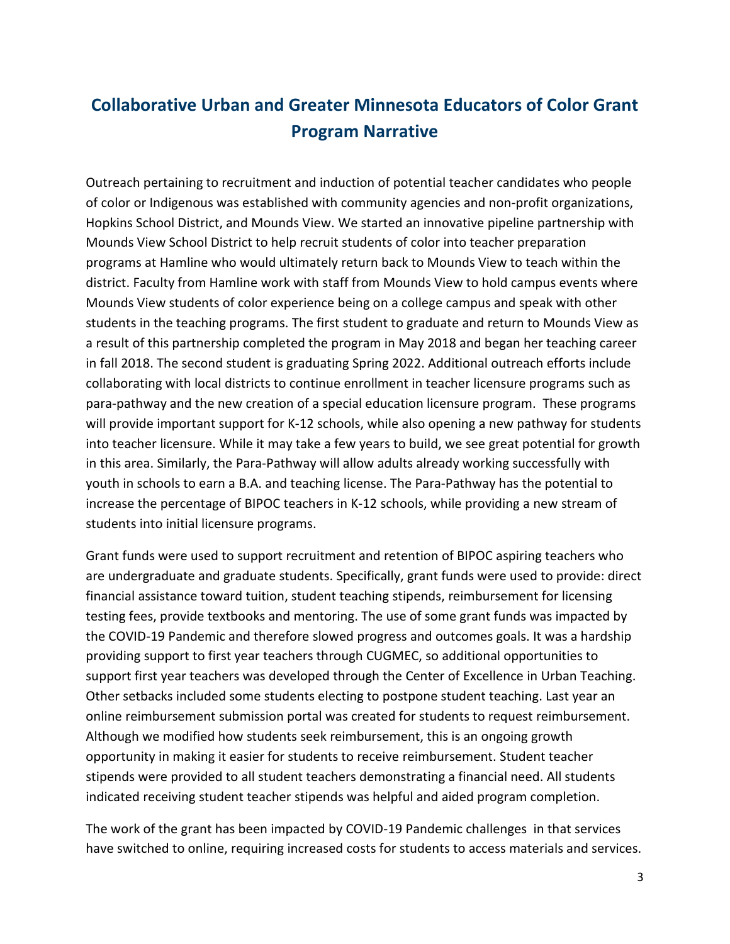## **Collaborative Urban and Greater Minnesota Educators of Color Grant Program Narrative**

Outreach pertaining to recruitment and induction of potential teacher candidates who people of color or Indigenous was established with community agencies and non-profit organizations, Hopkins School District, and Mounds View. We started an innovative pipeline partnership with Mounds View School District to help recruit students of color into teacher preparation programs at Hamline who would ultimately return back to Mounds View to teach within the district. Faculty from Hamline work with staff from Mounds View to hold campus events where Mounds View students of color experience being on a college campus and speak with other students in the teaching programs. The first student to graduate and return to Mounds View as a result of this partnership completed the program in May 2018 and began her teaching career in fall 2018. The second student is graduating Spring 2022. Additional outreach efforts include collaborating with local districts to continue enrollment in teacher licensure programs such as para-pathway and the new creation of a special education licensure program. These programs will provide important support for K-12 schools, while also opening a new pathway for students into teacher licensure. While it may take a few years to build, we see great potential for growth in this area. Similarly, the Para-Pathway will allow adults already working successfully with youth in schools to earn a B.A. and teaching license. The Para-Pathway has the potential to increase the percentage of BIPOC teachers in K-12 schools, while providing a new stream of students into initial licensure programs.

Grant funds were used to support recruitment and retention of BIPOC aspiring teachers who are undergraduate and graduate students. Specifically, grant funds were used to provide: direct financial assistance toward tuition, student teaching stipends, reimbursement for licensing testing fees, provide textbooks and mentoring. The use of some grant funds was impacted by the COVID-19 Pandemic and therefore slowed progress and outcomes goals. It was a hardship providing support to first year teachers through CUGMEC, so additional opportunities to support first year teachers was developed through the Center of Excellence in Urban Teaching. Other setbacks included some students electing to postpone student teaching. Last year an online reimbursement submission portal was created for students to request reimbursement. Although we modified how students seek reimbursement, this is an ongoing growth opportunity in making it easier for students to receive reimbursement. Student teacher stipends were provided to all student teachers demonstrating a financial need. All students indicated receiving student teacher stipends was helpful and aided program completion.

The work of the grant has been impacted by COVID-19 Pandemic challenges in that services have switched to online, requiring increased costs for students to access materials and services.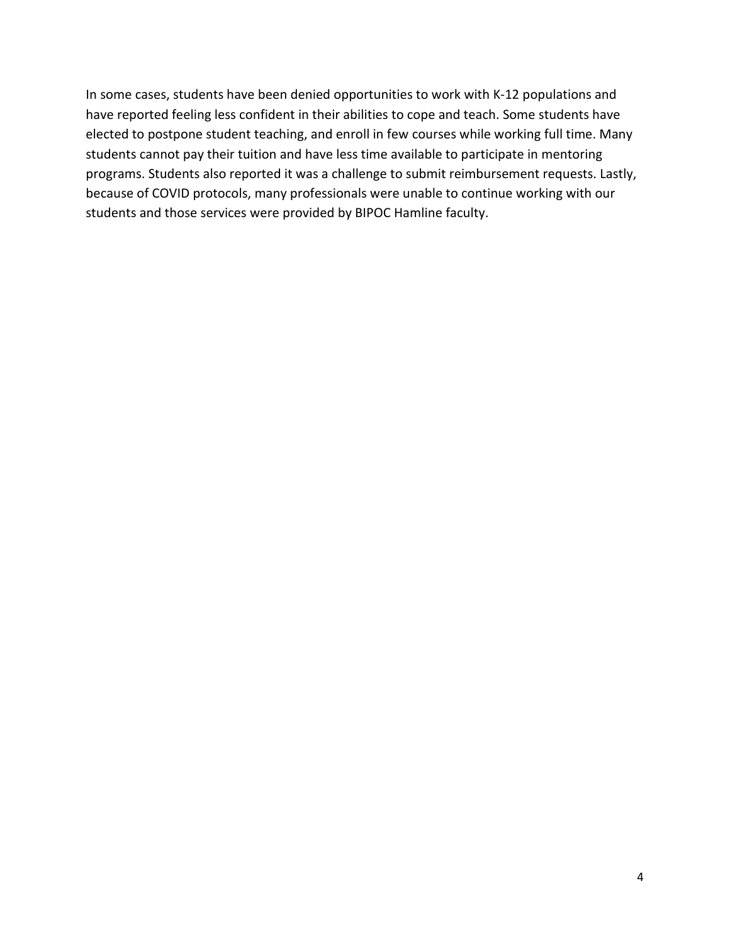In some cases, students have been denied opportunities to work with K-12 populations and have reported feeling less confident in their abilities to cope and teach. Some students have elected to postpone student teaching, and enroll in few courses while working full time. Many students cannot pay their tuition and have less time available to participate in mentoring programs. Students also reported it was a challenge to submit reimbursement requests. Lastly, because of COVID protocols, many professionals were unable to continue working with our students and those services were provided by BIPOC Hamline faculty.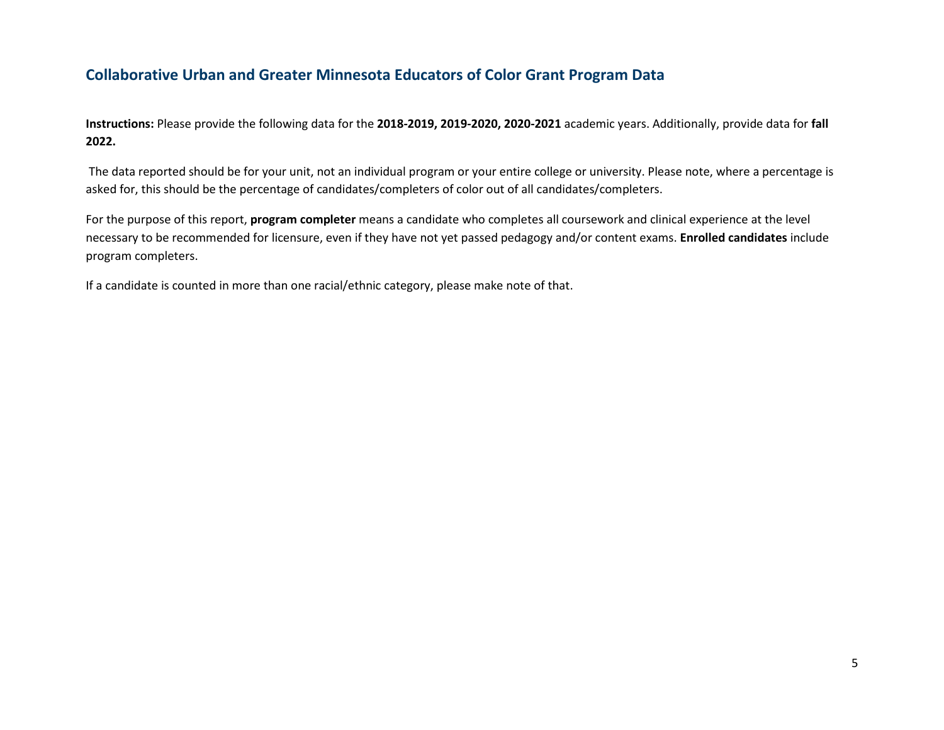### **Collaborative Urban and Greater Minnesota Educators of Color Grant Program Data**

**Instructions:** Please provide the following data for the **2018-2019, 2019-2020, 2020-2021** academic years. Additionally, provide data for **fall 2022.**

The data reported should be for your unit, not an individual program or your entire college or university. Please note, where a percentage is asked for, this should be the percentage of candidates/completers of color out of all candidates/completers.

For the purpose of this report, **program completer** means a candidate who completes all coursework and clinical experience at the level necessary to be recommended for licensure, even if they have not yet passed pedagogy and/or content exams. **Enrolled candidates** include program completers.

If a candidate is counted in more than one racial/ethnic category, please make note of that.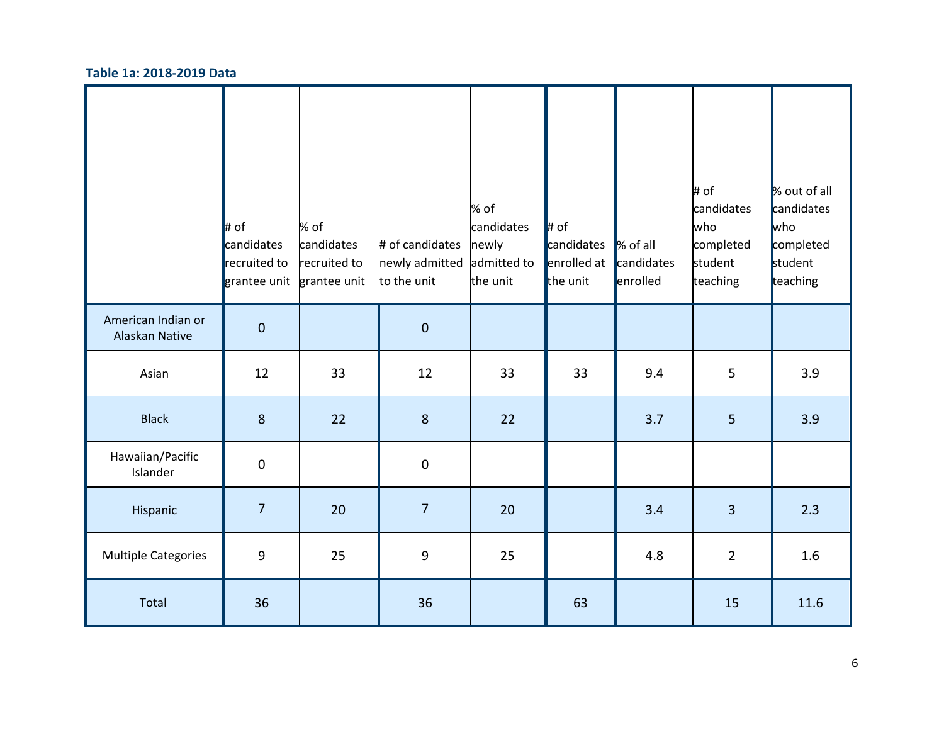#### **Table 1a: 2018-2019 Data**

|                                      | $\ $ # of<br>candidates<br>recruited to<br>grantee unit | % of<br>candidates<br>recruited to<br>grantee unit | # of candidates<br>newly admitted<br>to the unit | % of<br>candidates<br>newly<br>admitted to<br>the unit | $\ $ # of<br>candidates<br>enrolled at<br>the unit | % of all<br>candidates<br>enrolled | # of<br>candidates<br>who<br>completed<br>student<br>teaching | % out of all<br>candidates<br><b>who</b><br>completed<br>student<br>teaching |
|--------------------------------------|---------------------------------------------------------|----------------------------------------------------|--------------------------------------------------|--------------------------------------------------------|----------------------------------------------------|------------------------------------|---------------------------------------------------------------|------------------------------------------------------------------------------|
| American Indian or<br>Alaskan Native | $\pmb{0}$                                               |                                                    | $\pmb{0}$                                        |                                                        |                                                    |                                    |                                                               |                                                                              |
| Asian                                | 12                                                      | 33                                                 | 12                                               | 33                                                     | 33                                                 | 9.4                                | 5                                                             | 3.9                                                                          |
| <b>Black</b>                         | $8\phantom{1}$                                          | 22                                                 | $8\phantom{1}$                                   | 22                                                     |                                                    | 3.7                                | 5                                                             | 3.9                                                                          |
| Hawaiian/Pacific<br>Islander         | $\pmb{0}$                                               |                                                    | 0                                                |                                                        |                                                    |                                    |                                                               |                                                                              |
| Hispanic                             | $\overline{7}$                                          | 20                                                 | $\overline{7}$                                   | 20                                                     |                                                    | 3.4                                | $\overline{3}$                                                | 2.3                                                                          |
| <b>Multiple Categories</b>           | $\boldsymbol{9}$                                        | 25                                                 | $\boldsymbol{9}$                                 | 25                                                     |                                                    | 4.8                                | $\overline{2}$                                                | 1.6                                                                          |
| Total                                | 36                                                      |                                                    | 36                                               |                                                        | 63                                                 |                                    | 15                                                            | 11.6                                                                         |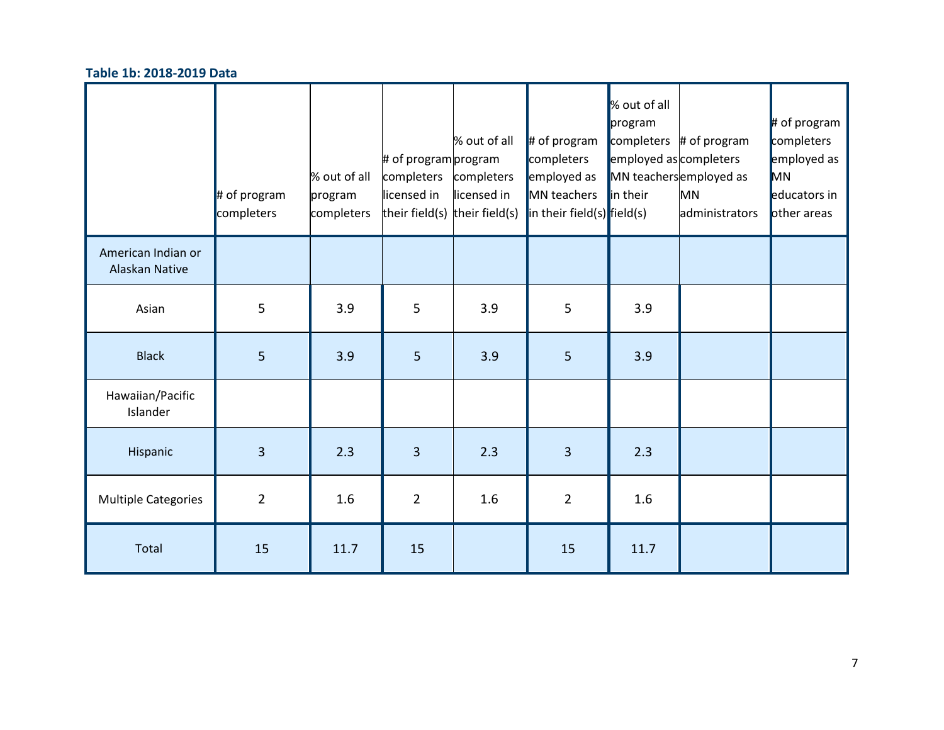#### **Table 1b: 2018-2019 Data**

|                                      | $#$ of program<br>completers | % out of all<br>program<br>completers | # of program program<br>completers<br>licensed in<br>their field(s) their field(s) | % out of all<br>completers<br>licensed in | $\parallel$ # of program<br>completers<br>employed as<br>MN teachers<br>$\left  \text{in their field(s)} \right $ field(s) | % out of all<br>program<br>employed as completers<br>in their | completers $#$ of program<br>MN teachersemployed as<br><b>MN</b><br>administrators | $#$ of program<br>completers<br>employed as<br>MN<br>educators in<br>other areas |
|--------------------------------------|------------------------------|---------------------------------------|------------------------------------------------------------------------------------|-------------------------------------------|----------------------------------------------------------------------------------------------------------------------------|---------------------------------------------------------------|------------------------------------------------------------------------------------|----------------------------------------------------------------------------------|
| American Indian or<br>Alaskan Native |                              |                                       |                                                                                    |                                           |                                                                                                                            |                                                               |                                                                                    |                                                                                  |
| Asian                                | 5                            | 3.9                                   | 5                                                                                  | 3.9                                       | 5                                                                                                                          | 3.9                                                           |                                                                                    |                                                                                  |
| <b>Black</b>                         | 5                            | 3.9                                   | 5                                                                                  | 3.9                                       | 5                                                                                                                          | 3.9                                                           |                                                                                    |                                                                                  |
| Hawaiian/Pacific<br>Islander         |                              |                                       |                                                                                    |                                           |                                                                                                                            |                                                               |                                                                                    |                                                                                  |
| Hispanic                             | $\overline{3}$               | 2.3                                   | 3                                                                                  | 2.3                                       | 3                                                                                                                          | 2.3                                                           |                                                                                    |                                                                                  |
| <b>Multiple Categories</b>           | $\overline{2}$               | 1.6                                   | $\overline{2}$                                                                     | 1.6                                       | $\overline{2}$                                                                                                             | 1.6                                                           |                                                                                    |                                                                                  |
| Total                                | 15                           | 11.7                                  | 15                                                                                 |                                           | 15                                                                                                                         | 11.7                                                          |                                                                                    |                                                                                  |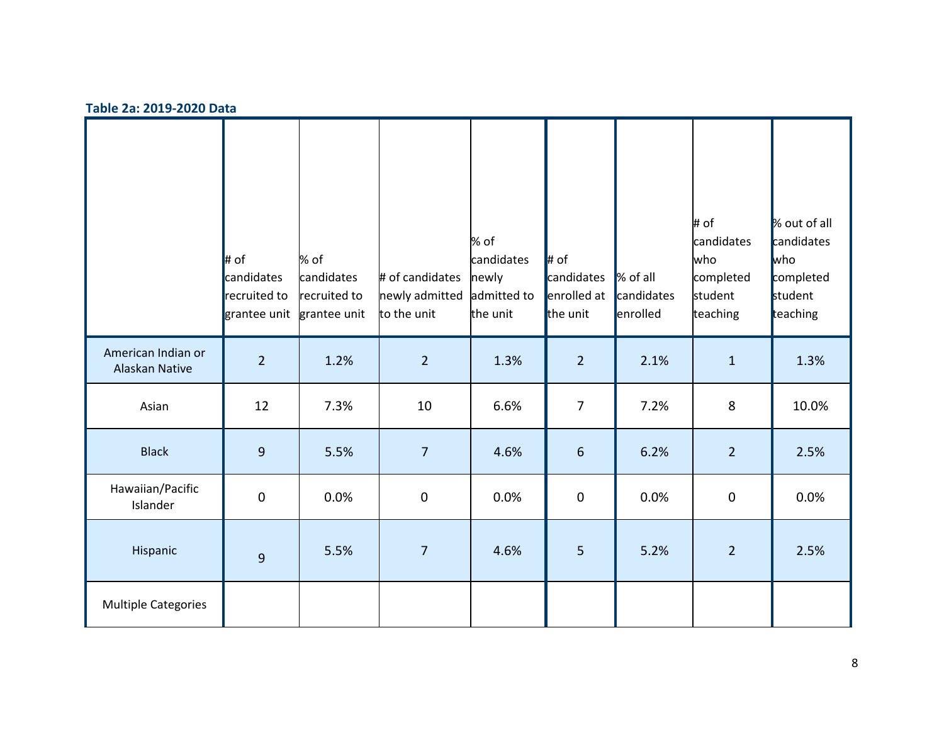#### **Table 2a: 2019-2020 Data**

|                                      | $\parallel$ # of<br>candidates<br>recruited to<br>grantee unit | % of<br>candidates<br>recruited to<br>grantee unit | # of candidates<br>newly admitted<br>to the unit | % of<br>candidates<br>newly<br>admitted to<br>the unit | $\ #$ of<br>candidates<br>enrolled at<br>the unit | % of all<br>candidates<br>enrolled | # of<br>candidates<br>who<br>completed<br>student<br>teaching | % out of all<br>candidates<br><b>who</b><br>completed<br>student<br>teaching |
|--------------------------------------|----------------------------------------------------------------|----------------------------------------------------|--------------------------------------------------|--------------------------------------------------------|---------------------------------------------------|------------------------------------|---------------------------------------------------------------|------------------------------------------------------------------------------|
| American Indian or<br>Alaskan Native | $\overline{2}$                                                 | 1.2%                                               | $\overline{2}$                                   | 1.3%                                                   | $\overline{2}$                                    | 2.1%                               | $\mathbf{1}$                                                  | 1.3%                                                                         |
| Asian                                | 12                                                             | 7.3%                                               | 10                                               | 6.6%                                                   | $\overline{7}$                                    | 7.2%                               | 8                                                             | 10.0%                                                                        |
| <b>Black</b>                         | $\overline{9}$                                                 | 5.5%                                               | $\overline{7}$                                   | 4.6%                                                   | $\boldsymbol{6}$                                  | 6.2%                               | 2 <sup>1</sup>                                                | 2.5%                                                                         |
| Hawaiian/Pacific<br>Islander         | $\pmb{0}$                                                      | 0.0%                                               | $\pmb{0}$                                        | 0.0%                                                   | $\pmb{0}$                                         | 0.0%                               | $\pmb{0}$                                                     | 0.0%                                                                         |
| Hispanic                             | $\overline{9}$                                                 | 5.5%                                               | $\overline{7}$                                   | 4.6%                                                   | 5                                                 | 5.2%                               | $\overline{2}$                                                | 2.5%                                                                         |
| Multiple Categories                  |                                                                |                                                    |                                                  |                                                        |                                                   |                                    |                                                               |                                                                              |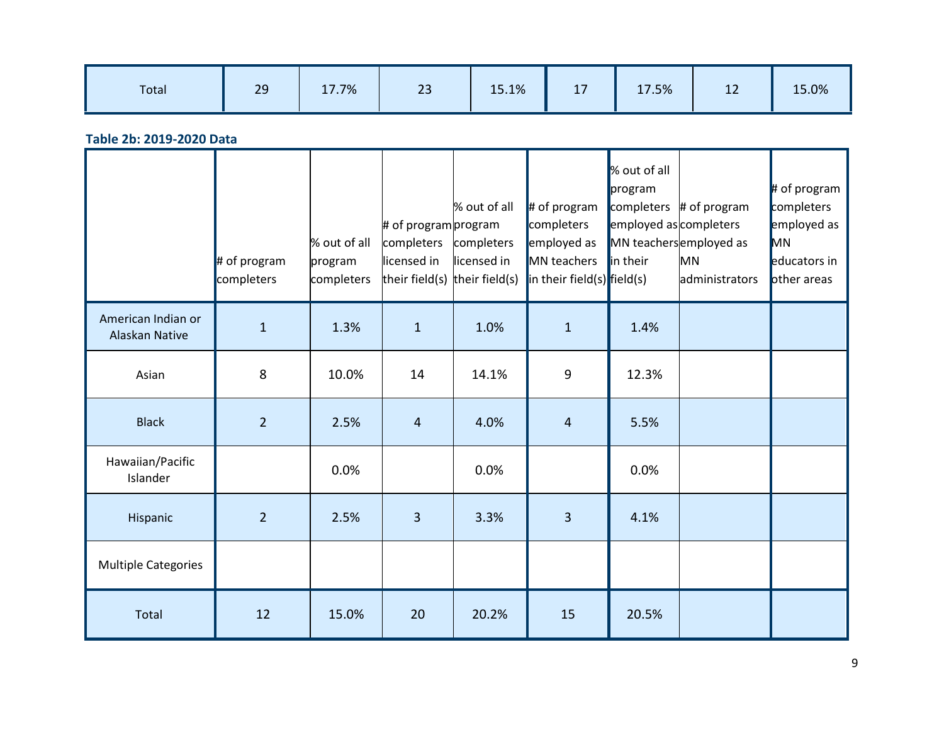| Total | 29 | 17.7% | $\mathbf{a}$<br>25 | 15.1% | 47<br>$\pm$ | 17.5% | 4 <sup>2</sup><br>ᆠ | 15.0% |
|-------|----|-------|--------------------|-------|-------------|-------|---------------------|-------|
|       |    |       |                    |       |             |       |                     |       |

**Table 2b: 2019-2020 Data**

|                                      | $#$ of program<br>completers | % out of all<br>program<br>completers | # of program program<br>completers<br>licensed in<br>their field(s) | % out of all<br>completers<br>licensed in<br>their field(s) | $\#$ of program<br>completers<br>employed as<br>MN teachers<br>in their field(s) field(s) | % out of all<br>program<br>completers<br>employed as completers<br>in their | # of program<br>MN teachersemployed as<br>MN<br>administrators | $#$ of program<br>completers<br>employed as<br>MN<br>educators in<br>other areas |
|--------------------------------------|------------------------------|---------------------------------------|---------------------------------------------------------------------|-------------------------------------------------------------|-------------------------------------------------------------------------------------------|-----------------------------------------------------------------------------|----------------------------------------------------------------|----------------------------------------------------------------------------------|
| American Indian or<br>Alaskan Native | $\mathbf{1}$                 | 1.3%                                  | $\mathbf{1}$                                                        | 1.0%                                                        | $\mathbf{1}$                                                                              | 1.4%                                                                        |                                                                |                                                                                  |
| Asian                                | 8                            | 10.0%                                 | 14                                                                  | 14.1%                                                       | 9                                                                                         | 12.3%                                                                       |                                                                |                                                                                  |
| <b>Black</b>                         | $\overline{2}$               | 2.5%                                  | $\overline{4}$                                                      | 4.0%                                                        | $\overline{4}$                                                                            | 5.5%                                                                        |                                                                |                                                                                  |
| Hawaiian/Pacific<br>Islander         |                              | 0.0%                                  |                                                                     | 0.0%                                                        |                                                                                           | 0.0%                                                                        |                                                                |                                                                                  |
| Hispanic                             | $\overline{2}$               | 2.5%                                  | $\overline{3}$                                                      | 3.3%                                                        | 3                                                                                         | 4.1%                                                                        |                                                                |                                                                                  |
| <b>Multiple Categories</b>           |                              |                                       |                                                                     |                                                             |                                                                                           |                                                                             |                                                                |                                                                                  |
| Total                                | 12                           | 15.0%                                 | 20                                                                  | 20.2%                                                       | 15                                                                                        | 20.5%                                                                       |                                                                |                                                                                  |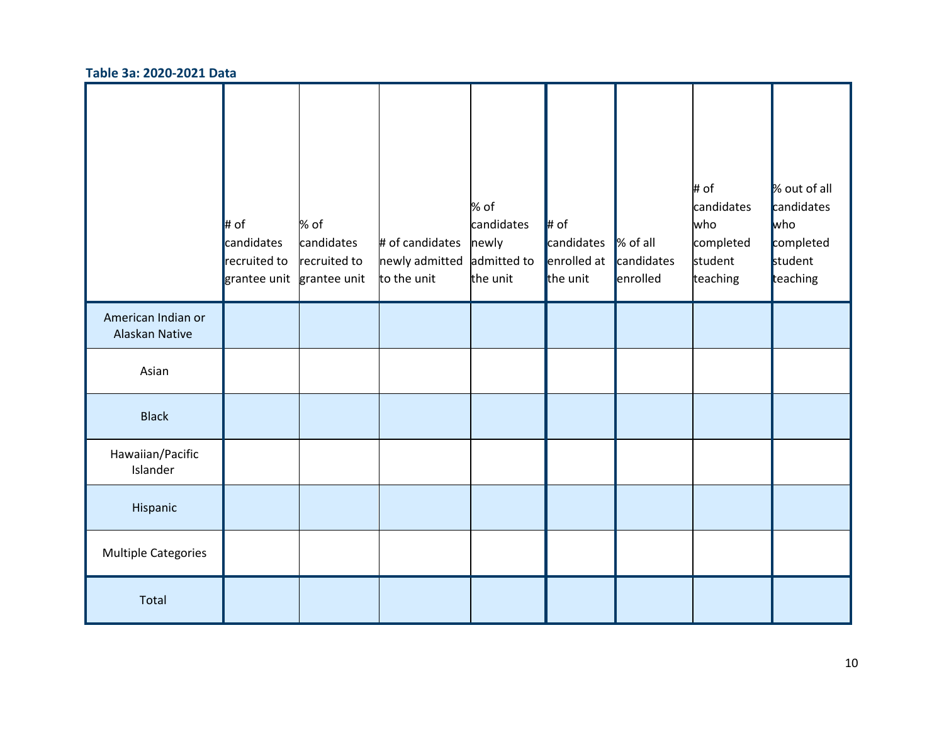#### **Table 3a: 2020-2021 Data**

|                                      | $\ $ # of<br>candidates<br>recruited to<br>grantee unit | % of<br>candidates<br>recruited to<br>grantee unit | # of candidates<br>newly admitted<br>to the unit | % of<br>candidates<br>newly<br>admitted to<br>the unit | $\ $ # of<br>candidates<br>enrolled at<br>the unit | % of all<br>candidates<br>enrolled | # of<br>candidates<br>who<br>completed<br>student<br>teaching | % out of all<br>candidates<br><b>who</b><br>completed<br>student<br>teaching |
|--------------------------------------|---------------------------------------------------------|----------------------------------------------------|--------------------------------------------------|--------------------------------------------------------|----------------------------------------------------|------------------------------------|---------------------------------------------------------------|------------------------------------------------------------------------------|
| American Indian or<br>Alaskan Native |                                                         |                                                    |                                                  |                                                        |                                                    |                                    |                                                               |                                                                              |
| Asian                                |                                                         |                                                    |                                                  |                                                        |                                                    |                                    |                                                               |                                                                              |
| <b>Black</b>                         |                                                         |                                                    |                                                  |                                                        |                                                    |                                    |                                                               |                                                                              |
| Hawaiian/Pacific<br>Islander         |                                                         |                                                    |                                                  |                                                        |                                                    |                                    |                                                               |                                                                              |
| Hispanic                             |                                                         |                                                    |                                                  |                                                        |                                                    |                                    |                                                               |                                                                              |
| <b>Multiple Categories</b>           |                                                         |                                                    |                                                  |                                                        |                                                    |                                    |                                                               |                                                                              |
| Total                                |                                                         |                                                    |                                                  |                                                        |                                                    |                                    |                                                               |                                                                              |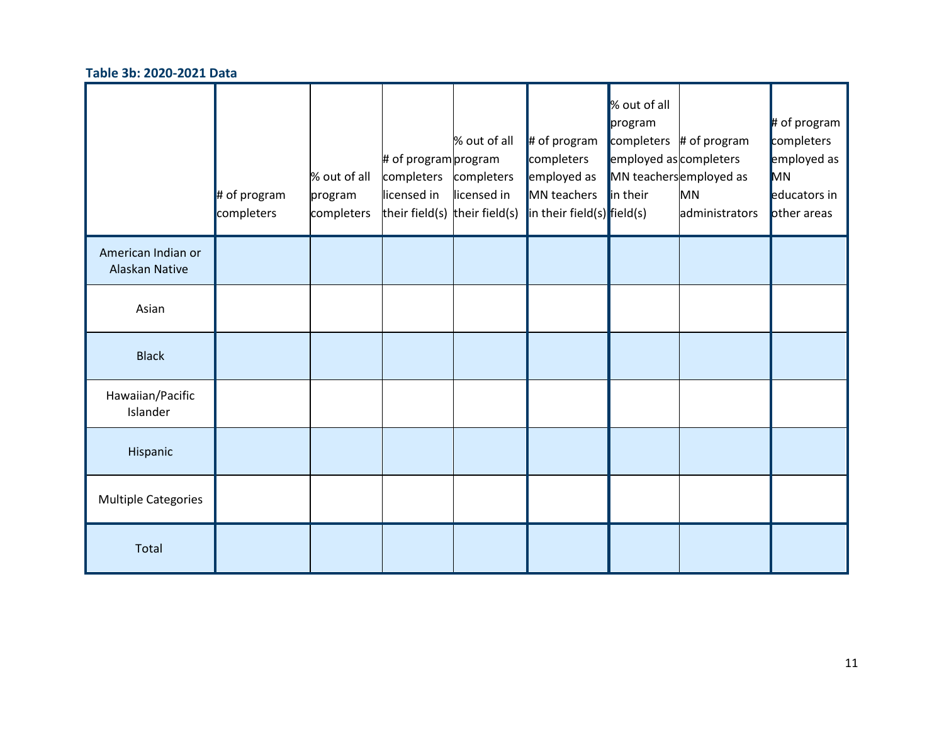#### **Table 3b: 2020-2021 Data**

|                                      | $#$ of program<br>completers | % out of all<br>program<br>completers | # of program program<br>completers<br>licensed in<br>their field(s) their field(s) | % out of all<br>completers<br>licensed in | $\#$ of program<br>completers<br>employed as<br>MN teachers<br>$\left  \text{in their field(s)} \right $ field(s) | % out of all<br>program<br>employed as completers<br>in their | completers $#$ of program<br>MN teachersemployed as<br><b>MN</b><br>administrators | $#$ of program<br>completers<br>employed as<br>MN<br>educators in<br>other areas |
|--------------------------------------|------------------------------|---------------------------------------|------------------------------------------------------------------------------------|-------------------------------------------|-------------------------------------------------------------------------------------------------------------------|---------------------------------------------------------------|------------------------------------------------------------------------------------|----------------------------------------------------------------------------------|
| American Indian or<br>Alaskan Native |                              |                                       |                                                                                    |                                           |                                                                                                                   |                                                               |                                                                                    |                                                                                  |
| Asian                                |                              |                                       |                                                                                    |                                           |                                                                                                                   |                                                               |                                                                                    |                                                                                  |
| <b>Black</b>                         |                              |                                       |                                                                                    |                                           |                                                                                                                   |                                                               |                                                                                    |                                                                                  |
| Hawaiian/Pacific<br>Islander         |                              |                                       |                                                                                    |                                           |                                                                                                                   |                                                               |                                                                                    |                                                                                  |
| Hispanic                             |                              |                                       |                                                                                    |                                           |                                                                                                                   |                                                               |                                                                                    |                                                                                  |
| <b>Multiple Categories</b>           |                              |                                       |                                                                                    |                                           |                                                                                                                   |                                                               |                                                                                    |                                                                                  |
| Total                                |                              |                                       |                                                                                    |                                           |                                                                                                                   |                                                               |                                                                                    |                                                                                  |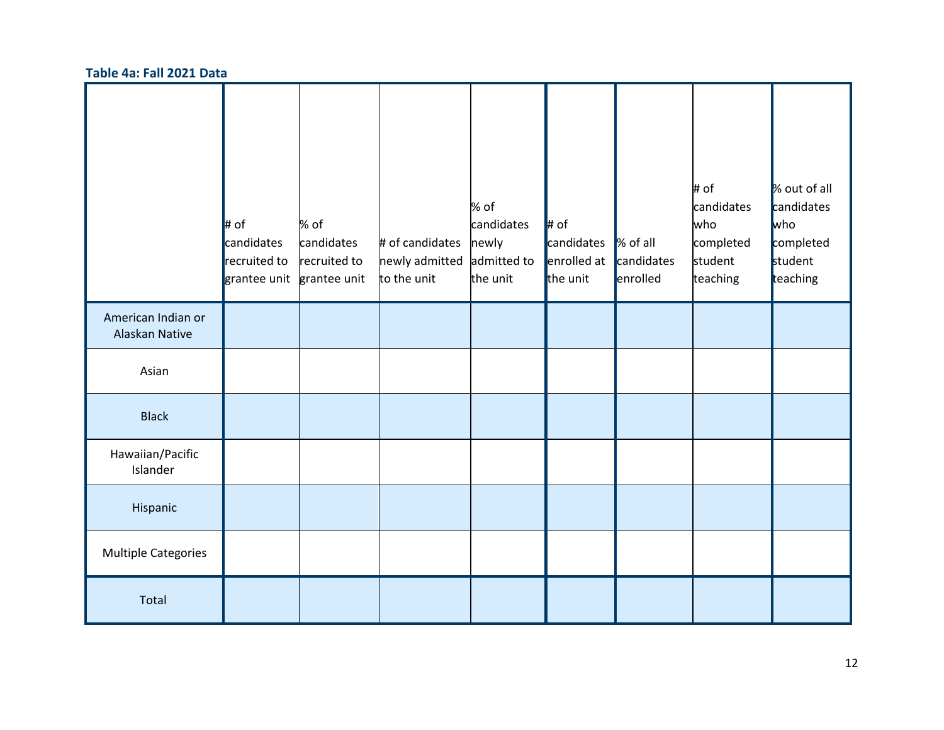#### **Table 4a: Fall 2021 Data**

|                                      | $\ $ # of<br>candidates<br>recruited to<br>grantee unit | % of<br>candidates<br>recruited to<br>grantee unit | # of candidates<br>newly admitted<br>to the unit | % of<br>candidates<br>newly<br>admitted to<br>the unit | $\parallel$ # of<br>candidates<br>enrolled at<br>the unit | % of all<br>candidates<br>enrolled | # of<br>candidates<br>who<br>completed<br>student<br>teaching | % out of all<br>candidates<br><b>who</b><br>completed<br>student<br>teaching |
|--------------------------------------|---------------------------------------------------------|----------------------------------------------------|--------------------------------------------------|--------------------------------------------------------|-----------------------------------------------------------|------------------------------------|---------------------------------------------------------------|------------------------------------------------------------------------------|
| American Indian or<br>Alaskan Native |                                                         |                                                    |                                                  |                                                        |                                                           |                                    |                                                               |                                                                              |
| Asian                                |                                                         |                                                    |                                                  |                                                        |                                                           |                                    |                                                               |                                                                              |
| <b>Black</b>                         |                                                         |                                                    |                                                  |                                                        |                                                           |                                    |                                                               |                                                                              |
| Hawaiian/Pacific<br>Islander         |                                                         |                                                    |                                                  |                                                        |                                                           |                                    |                                                               |                                                                              |
| Hispanic                             |                                                         |                                                    |                                                  |                                                        |                                                           |                                    |                                                               |                                                                              |
| <b>Multiple Categories</b>           |                                                         |                                                    |                                                  |                                                        |                                                           |                                    |                                                               |                                                                              |
| Total                                |                                                         |                                                    |                                                  |                                                        |                                                           |                                    |                                                               |                                                                              |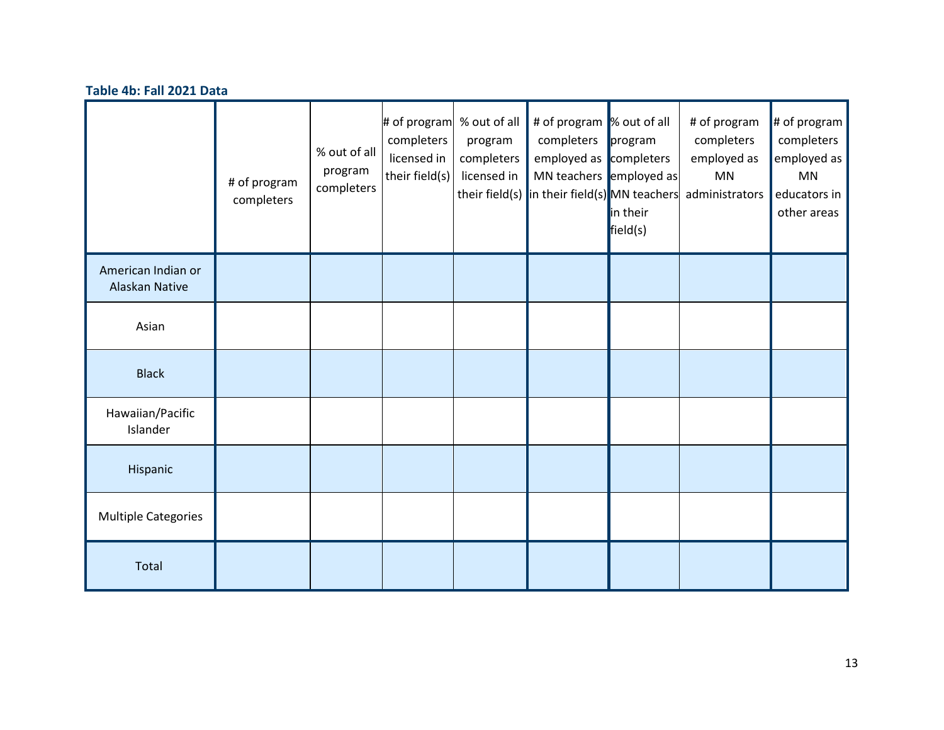#### **Table 4b: Fall 2021 Data**

|                                      | # of program<br>completers | % out of all<br>program<br>completers | # of program<br>completers<br>licensed in<br>their field(s) | % out of all<br>program<br>completers<br>licensed in | # of program  % out of all<br>completers<br>employed as completers<br>MN teachers employed as<br>their field(s) in their field(s) MN teachers | program<br>in their<br>field(s) | # of program<br>completers<br>employed as<br>MN<br>administrators | # of program<br>completers<br>employed as<br><b>MN</b><br>educators in<br>other areas |
|--------------------------------------|----------------------------|---------------------------------------|-------------------------------------------------------------|------------------------------------------------------|-----------------------------------------------------------------------------------------------------------------------------------------------|---------------------------------|-------------------------------------------------------------------|---------------------------------------------------------------------------------------|
| American Indian or<br>Alaskan Native |                            |                                       |                                                             |                                                      |                                                                                                                                               |                                 |                                                                   |                                                                                       |
| Asian                                |                            |                                       |                                                             |                                                      |                                                                                                                                               |                                 |                                                                   |                                                                                       |
| <b>Black</b>                         |                            |                                       |                                                             |                                                      |                                                                                                                                               |                                 |                                                                   |                                                                                       |
| Hawaiian/Pacific<br>Islander         |                            |                                       |                                                             |                                                      |                                                                                                                                               |                                 |                                                                   |                                                                                       |
| Hispanic                             |                            |                                       |                                                             |                                                      |                                                                                                                                               |                                 |                                                                   |                                                                                       |
| <b>Multiple Categories</b>           |                            |                                       |                                                             |                                                      |                                                                                                                                               |                                 |                                                                   |                                                                                       |
| Total                                |                            |                                       |                                                             |                                                      |                                                                                                                                               |                                 |                                                                   |                                                                                       |